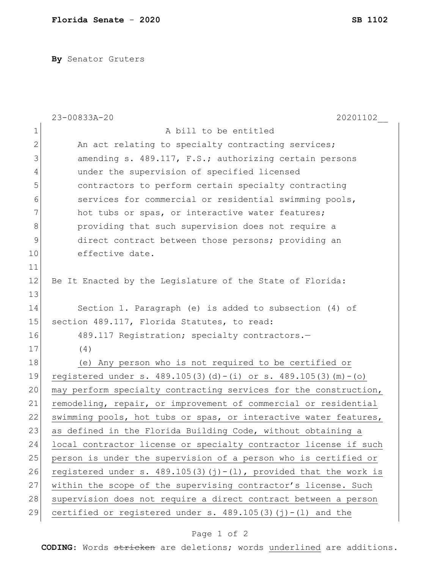**By** Senator Gruters

|              | 20201102<br>23-00833A-20                                              |
|--------------|-----------------------------------------------------------------------|
| $\mathbf 1$  | A bill to be entitled                                                 |
| $\mathbf{2}$ | An act relating to specialty contracting services;                    |
| 3            | amending s. 489.117, F.S.; authorizing certain persons                |
| 4            | under the supervision of specified licensed                           |
| 5            | contractors to perform certain specialty contracting                  |
| 6            | services for commercial or residential swimming pools,                |
| 7            | hot tubs or spas, or interactive water features;                      |
| $\,8\,$      | providing that such supervision does not require a                    |
| $\mathsf 9$  | direct contract between those persons; providing an                   |
| 10           | effective date.                                                       |
| 11           |                                                                       |
| 12           | Be It Enacted by the Legislature of the State of Florida:             |
| 13           |                                                                       |
| 14           | Section 1. Paragraph (e) is added to subsection (4) of                |
| 15           | section 489.117, Florida Statutes, to read:                           |
| 16           | 489.117 Registration; specialty contractors.-                         |
| 17           | (4)                                                                   |
| 18           | (e) Any person who is not required to be certified or                 |
| 19           | registered under s. $489.105(3)(d) - (i)$ or s. $489.105(3)(m) - (o)$ |
| 20           | may perform specialty contracting services for the construction,      |
| 21           | remodeling, repair, or improvement of commercial or residential       |
| 22           | swimming pools, hot tubs or spas, or interactive water features,      |
| 23           | as defined in the Florida Building Code, without obtaining a          |
| 24           | local contractor license or specialty contractor license if such      |
| 25           | person is under the supervision of a person who is certified or       |
| 26           | registered under s. $489.105(3)(j)-(1)$ , provided that the work is   |
| 27           | within the scope of the supervising contractor's license. Such        |
| 28           | supervision does not require a direct contract between a person       |
| 29           | certified or registered under s. $489.105(3)(j) - (1)$ and the        |

## Page 1 of 2

**CODING**: Words stricken are deletions; words underlined are additions.